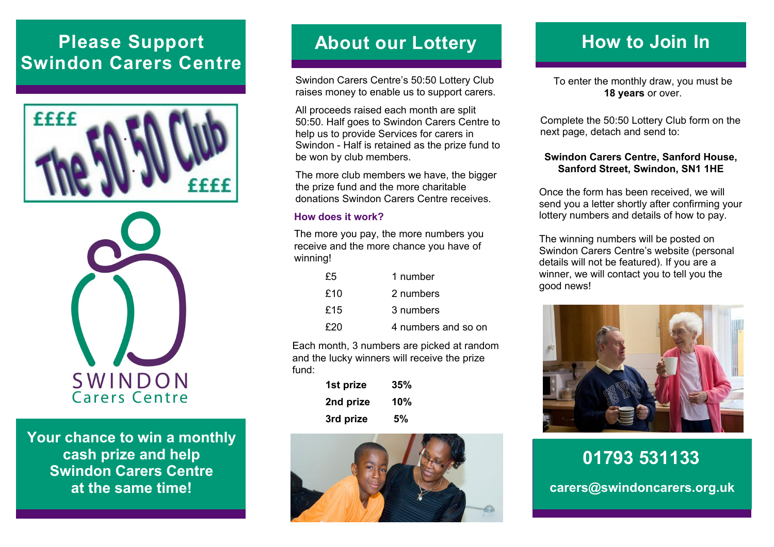# **Please Support Swindon Carers Centre**





**Your chance to win a monthly cash prize and help Swindon Carers Centre at the same time!**

### **About our Lottery**

Swindon Carers Centre's 50:50 Lottery Club raises money to enable us to support carers.

All proceeds raised each month are split 50:50. Half goes to Swindon Carers Centre to help us to provide Services for carers in Swindon - Half is retained as the prize fund to be won by club members.

The more club members we have, the bigger the prize fund and the more charitable donations Swindon Carers Centre receives.

#### **How does it work?**

The more you pay, the more numbers you receive and the more chance you have of winning!

| £5  | 1 number            |
|-----|---------------------|
| £10 | 2 numbers           |
| £15 | 3 numbers           |
| £20 | 4 numbers and so on |

Each month, 3 numbers are picked at random and the lucky winners will receive the prize fund:

| 1st prize | 35% |
|-----------|-----|
| 2nd prize | 10% |
| 3rd prize | 5%  |



## **How to Join In**

To enter the monthly draw, you must be **18 years** or over.

Complete the 50:50 Lottery Club form on the next page, detach and send to:

#### **Swindon Carers Centre, Sanford House, Sanford Street, Swindon, SN1 1HE**

Once the form has been received, we will send you a letter shortly after confirming your lottery numbers and details of how to pay.

The winning numbers will be posted on Swindon Carers Centre's website (personal details will not be featured). If you are a winner, we will contact you to tell you the good news!



**01793 531133 carers@swindoncarers.org.uk**